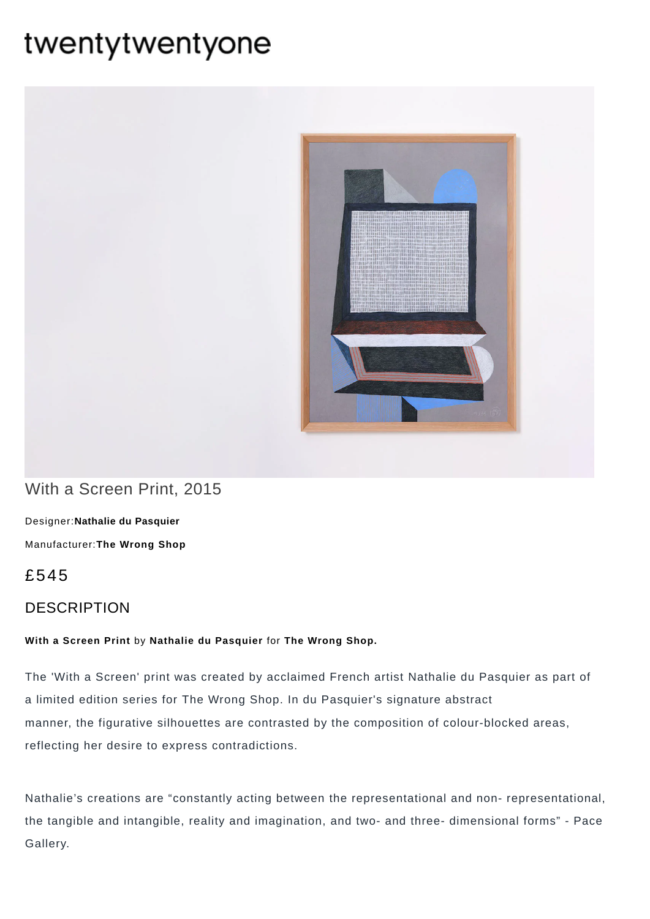# twentytwentyone



# With a Screen Print, 2015

[Designer:](https://www.twentytwentyone.com/collections/designers-nathalie-du-pasquier)**Nathalie du Pasquier** [Manufacturer:](https://www.twentytwentyone.com/collections/manufacturers-the-wrong-shop)**The Wrong Shop**

# £545

## DESCRIPTION

#### **With a Screen Print** by **Nathalie du [Pasquier](http://twentytwentyone.com/designer/nathalie-du-pasquier)** for **The [Wrong](https://www.twentytwentyone.com/collections/manufacturers-the-wrong-shop) Shop.**

The 'With a Screen' print was created by acclaimed French artist Nathalie du Pasquier as part of a limited edition series for The Wrong Shop. In du Pasquier's signature abstract manner, the figurative silhouettes are contrasted by the composition of colour-blocked areas, reflecting her desire to express contradictions.

Nathalie's creations are "constantly acting between the representational and non- representational, the tangible and intangible, reality and imagination, and two- and three- dimensional forms" - Pace Gallery.